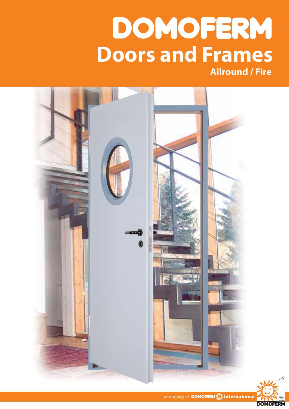# DOMOFERM **Doors and Frames Allround / Fire**



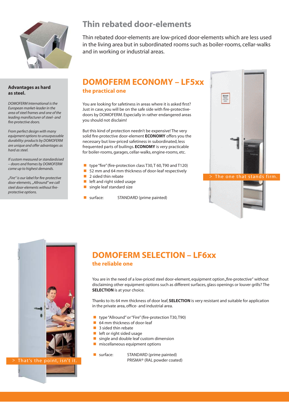

# **Thin rebated door-elements**

Thin rebated door-elements are low-priced door-elements which are less used in the living area but in subordinated rooms such as boiler-rooms, cellar-walks and in working or industrial areas.

#### **Advantages as hard as steel.**

*DOMOFERM International is the European market-leader in the area of steel frames and one of the leading manifacturer of steel- and fi re-protective doors.* 

*From perfect design with many equipment options to unsurpassable durability: products by DOMOFERM are unique and offer advantages as hard as steel.*

*If custom measured or standardsised – doors and frames by DOMOFERM come up to highest demands.*

*"Fire" is our label for fi re-protective door-elements, "Allround" we call*  steel door-elements without fire*protective options.*

## **DOMOFERM ECONOMY – LF5xx the practical one**

You are looking for safetiness in areas where it is asked first? Just in case, you will be on the safe side with fire-protectivedoors by DOMOFERM. Especially in rather endangered areas you should not disclaim!

But this kind of protection needn't be expensive! The very solid fire-protective door-element **ECONOMY** offers you the necessary but low-priced safetiness in subordinated, less frequented parts of builings. **ECONOMY** is very practicable for boiler-rooms, garages, cellar-walks, engine-rooms, etc.

- **type "fire" (fire-protection class T30, T 60, T90 and T120)**
- **2** 52 mm and 64 mm thickness of door-leaf respectively
- 2 sided thin rebate
- **lacks** left and right sided usage
- single leaf standard size
- surface: STANDARD (prime painted)





# **DOMOFERM SELECTION – LF6xx**

### **the reliable one**

You are in the need of a low-priced steel door-element, equipment option "fire-protective" without disclaiming other equipment options such as different surfaces, glass openings or louver grills? The **SELECTION** is at your choice.

Thanks to its 64 mm thickness of door leaf, **SELECTION** is very resistant and suitable for application in the private area, office- and industrial area.

- type "Allround" or "Fire" (fire-protection T30, T90)
- 64 mm thickness of door-leaf
- 3 sided thin rebate
- **lack** left or right sided usage
- **E** single and double leaf custom dimension
- **n** miscellaneous equipment options
- **E** surface: STANDARD (prime painted) PRISMA® (RAL powder coated)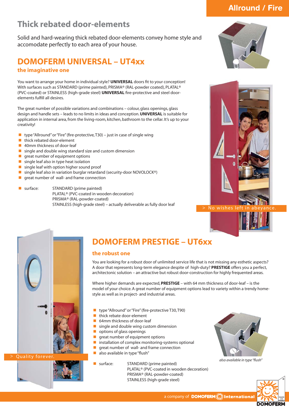# **Thick rebated door-elements**

Solid and hard-wearing thick rebated door-elements convey home style and accomodate perfectly to each area of your house.

## **DOMOFERM UNIVERSAL – UT4xx the imaginative one**

You want to arrange your home in individual style? **UNIVERSAL** doors fit to your conception! With surfaces such as STANDARD (prime painted), PRISMA® (RAL-powder coated), PLATAL® (PVC-coated) or STAINLESS (high-grade steel) **UNIVERSAL** fire-protective and steel doorelements fulfill all desires.

The great number of possible variations and combinations – colour, glass openings, glass design and handle sets – leads to no limits in ideas and conception. **UNIVERSAL** is suitable for application in internal area, from the living-room, kitchen, bathroom to the cellar. It's up to your creativity!

- type "Allround" or "Fire" (fire-protective, T30) just in case of single wing
- **E** thick rebated door-element
- **1** 40mm thickness of door-leaf
- **E** single and double wing standard size and custom dimension
- **•** great number of equipment options
- $\blacksquare$  single leaf also in type heat isolation
- **a** single leaf with option higher sound proof<br>**E** single leaf also in variation burglar retardar
- single leaf also in variation burglar retardand (security-door NOVOLOCK®)
- great number of wall- and frame connection
- 

**a** surface: STANDARD (prime painted) PLATAL® (PVC-coated in wooden decoration) PRISMA® (RAL-powder-coated) STAINLESS (high-grade steel) – actually deliverable as fully door leaf



**Allround / Fire** 





Quality foreve



# **DOMOFERM PRESTIGE – UT6xx**

## **the robust one**

You are looking for a robust door of unlimited service life that is not missing any esthetic aspects? A door that represents long-term elegance despite of high-duty? **PRESTIGE** offers you a perfect, architectonic solution – an attractive but robust door-construction for highly frequented areas.

Where higher demands are expected, **PRESTIGE** – with 64 mm thickness of door-leaf – is the model of your choice. A great number of equipment options lead to variety within a trendy homestyle as well as in project- and industrial areas.

- type "Allround" or "Fire" (fire-protective T30, T90)
- thick rebate door-element
- 64mm thickness of door-leaf
- **E** single and double wing custom dimension
- **•** options of glass openings
- great number of equipment options
- $\blacksquare$  installation of complex monitoring-systems optional
- great number of wall- and frame connection
- also available in type "flush"
- 

**E** surface: STANDARD (prime painted) PLATAL® (PVC-coated in wooden decoration) PRISMA® (RAL-powder-coated) STAINLESS (high-grade steel)



*also available in type "fl ush"*